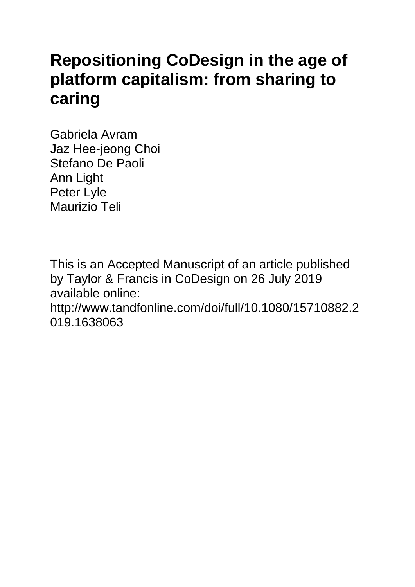## **Repositioning CoDesign in the age of platform capitalism: from sharing to caring**

Gabriela Avram Jaz Hee-jeong Choi Stefano De Paoli Ann Light Peter Lyle Maurizio Teli

This is an Accepted Manuscript of an article published by Taylor & Francis in CoDesign on 26 July 2019 available online: http://www.tandfonline.com/doi/full/10.1080/15710882.2 019.1638063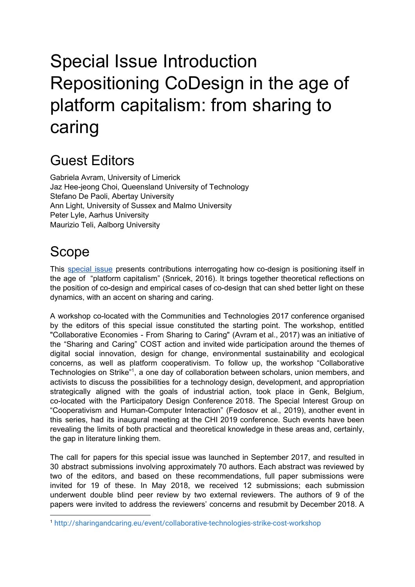# Special Issue Introduction Repositioning CoDesign in the age of platform capitalism: from sharing to caring

### Guest Editors

Gabriela Avram, University of Limerick Jaz Hee-jeong Choi, Queensland University of Technology Stefano De Paoli, Abertay University Ann Light, University of Sussex and Malmo University Peter Lyle, Aarhus University Maurizio Teli, Aalborg University

## Scope

This [special](http://explore.tandfonline.com/cfp/est/jmi02301-nsdn-si-sept-2017/) issue presents contributions interrogating how co-design is positioning itself in the age of "platform capitalism" (Snricek, 2016). It brings together theoretical reflections on the position of co-design and empirical cases of co-design that can shed better light on these dynamics, with an accent on sharing and caring.

A workshop co-located with the Communities and Technologies 2017 conference organised by the editors of this special issue constituted the starting point. The workshop, entitled "Collaborative Economies - From Sharing to Caring" (Avram et al., 2017) was an initiative of the "Sharing and Caring" COST action and invited wide participation around the themes of digital social innovation, design for change, environmental sustainability and ecological concerns, as well as platform cooperativism. To follow up, the workshop "Collaborative Technologies on Strike"<sup>1</sup>, a one day of collaboration between scholars, union members, and activists to discuss the possibilities for a technology design, development, and appropriation strategically aligned with the goals of industrial action, took place in Genk, Belgium, co-located with the Participatory Design Conference 2018. The Special Interest Group on "Cooperativism and Human-Computer Interaction" (Fedosov et al., 2019), another event in this series, had its inaugural meeting at the CHI 2019 conference. Such events have been revealing the limits of both practical and theoretical knowledge in these areas and, certainly, the gap in literature linking them.

The call for papers for this special issue was launched in September 2017, and resulted in 30 abstract submissions involving approximately 70 authors. Each abstract was reviewed by two of the editors, and based on these recommendations, full paper submissions were invited for 19 of these. In May 2018, we received 12 submissions; each submission underwent double blind peer review by two external reviewers. The authors of 9 of the papers were invited to address the reviewers' concerns and resubmit by December 2018. A

<sup>1</sup> <http://sharingandcaring.eu/event/collaborative-technologies-strike-cost-workshop>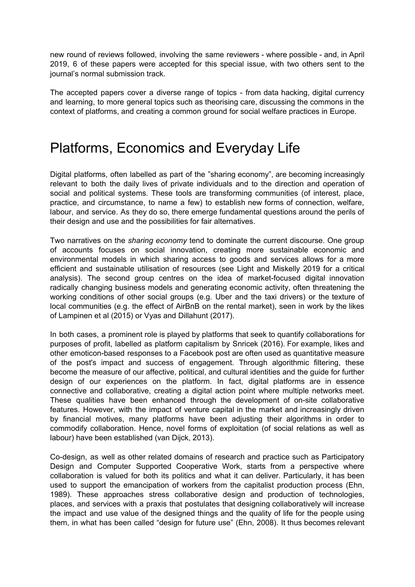new round of reviews followed, involving the same reviewers - where possible - and, in April 2019, 6 of these papers were accepted for this special issue, with two others sent to the journal's normal submission track.

The accepted papers cover a diverse range of topics - from data hacking, digital currency and learning, to more general topics such as theorising care, discussing the commons in the context of platforms, and creating a common ground for social welfare practices in Europe.

#### Platforms, Economics and Everyday Life

Digital platforms, often labelled as part of the "sharing economy", are becoming increasingly relevant to both the daily lives of private individuals and to the direction and operation of social and political systems. These tools are transforming communities (of interest, place, practice, and circumstance, to name a few) to establish new forms of connection, welfare, labour, and service. As they do so, there emerge fundamental questions around the perils of their design and use and the possibilities for fair alternatives.

Two narratives on the *sharing economy* tend to dominate the current discourse. One group of accounts focuses on social innovation, creating more sustainable economic and environmental models in which sharing access to goods and services allows for a more efficient and sustainable utilisation of resources (see Light and Miskelly 2019 for a critical analysis). The second group centres on the idea of market-focused digital innovation radically changing business models and generating economic activity, often threatening the working conditions of other social groups (e.g. Uber and the taxi drivers) or the texture of local communities (e.g. the effect of AirBnB on the rental market), seen in work by the likes of Lampinen et al (2015) or Vyas and Dillahunt (2017).

In both cases, a prominent role is played by platforms that seek to quantify collaborations for purposes of profit, labelled as platform capitalism by Snricek (2016). For example, likes and other emoticon-based responses to a Facebook post are often used as quantitative measure of the post's impact and success of engagement. Through algorithmic filtering, these become the measure of our affective, political, and cultural identities and the guide for further design of our experiences on the platform. In fact, digital platforms are in essence connective and collaborative, creating a digital action point where multiple networks meet. These qualities have been enhanced through the development of on-site collaborative features. However, with the impact of venture capital in the market and increasingly driven by financial motives, many platforms have been adjusting their algorithms in order to commodify collaboration. Hence, novel forms of exploitation (of social relations as well as labour) have been established (van Dijck, 2013).

Co-design, as well as other related domains of research and practice such as Participatory Design and Computer Supported Cooperative Work, starts from a perspective where collaboration is valued for both its politics and what it can deliver. Particularly, it has been used to support the emancipation of workers from the capitalist production process (Ehn, 1989). These approaches stress collaborative design and production of technologies, places, and services with a praxis that postulates that designing collaboratively will increase the impact and use value of the designed things and the quality of life for the people using them, in what has been called "design for future use" (Ehn, 2008). It thus becomes relevant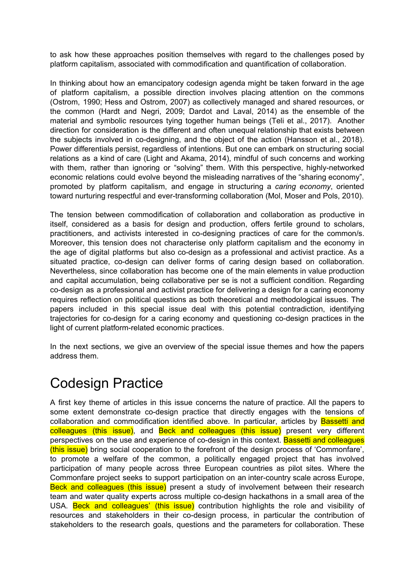to ask how these approaches position themselves with regard to the challenges posed by platform capitalism, associated with commodification and quantification of collaboration.

In thinking about how an emancipatory codesign agenda might be taken forward in the age of platform capitalism, a possible direction involves placing attention on the commons (Ostrom, 1990; Hess and Ostrom, 2007) as collectively managed and shared resources, or the common (Hardt and Negri, 2009; Dardot and Laval, 2014) as the ensemble of the material and symbolic resources tying together human beings (Teli et al., 2017). Another direction for consideration is the different and often unequal relationship that exists between the subjects involved in co-designing, and the object of the action (Hansson et al., 2018). Power differentials persist, regardless of intentions. But one can embark on structuring social relations as a kind of care (Light and Akama, 2014), mindful of such concerns and working with them, rather than ignoring or "solving" them. With this perspective, highly-networked economic relations could evolve beyond the misleading narratives of the "sharing economy", promoted by platform capitalism, and engage in structuring a *caring economy*, oriented toward nurturing respectful and ever-transforming collaboration (Mol, Moser and Pols, 2010).

The tension between commodification of collaboration and collaboration as productive in itself, considered as a basis for design and production, offers fertile ground to scholars, practitioners, and activists interested in co-designing practices of care for the common/s. Moreover, this tension does not characterise only platform capitalism and the economy in the age of digital platforms but also co-design as a professional and activist practice. As a situated practice, co-design can deliver forms of caring design based on collaboration. Nevertheless, since collaboration has become one of the main elements in value production and capital accumulation, being collaborative per se is not a sufficient condition. Regarding co-design as a professional and activist practice for delivering a design for a caring economy requires reflection on political questions as both theoretical and methodological issues. The papers included in this special issue deal with this potential contradiction, identifying trajectories for co-design for a caring economy and questioning co-design practices in the light of current platform-related economic practices.

In the next sections, we give an overview of the special issue themes and how the papers address them.

#### Codesign Practice

A first key theme of articles in this issue concerns the nature of practice. All the papers to some extent demonstrate co-design practice that directly engages with the tensions of collaboration and commodification identified above. In particular, articles by **Bassetti and** colleagues (this issue), and Beck and colleagues (this issue) present very different perspectives on the use and experience of co-design in this context. Bassetti and colleagues (this issue) bring social cooperation to the forefront of the design process of 'Commonfare', to promote a welfare of the common, a politically engaged project that has involved participation of many people across three European countries as pilot sites. Where the Commonfare project seeks to support participation on an inter-country scale across Europe, Beck and colleagues (this issue) present a study of involvement between their research team and water quality experts across multiple co-design hackathons in a small area of the USA. Beck and colleagues' (this issue) contribution highlights the role and visibility of resources and stakeholders in their co-design process, in particular the contribution of stakeholders to the research goals, questions and the parameters for collaboration. These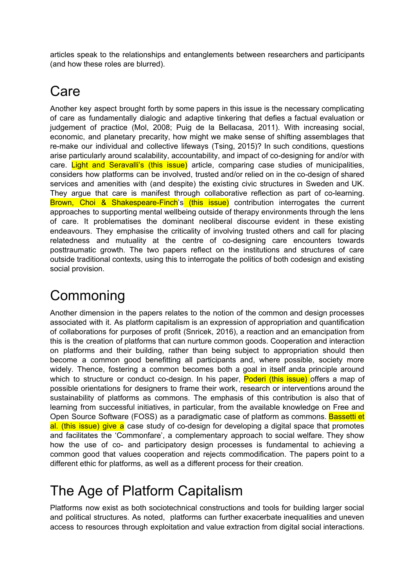articles speak to the relationships and entanglements between researchers and participants (and how these roles are blurred).

#### **Care**

Another key aspect brought forth by some papers in this issue is the necessary complicating of care as fundamentally dialogic and adaptive tinkering that defies a factual evaluation or judgement of practice (Mol, 2008; Puig de la Bellacasa, 2011). With increasing social, economic, and planetary precarity, how might we make sense of shifting assemblages that re-make our individual and collective lifeways (Tsing, 2015)? In such conditions, questions arise particularly around scalability, accountability, and impact of co-designing for and/or with care. Light and Seravalli's (this issue) article, comparing case studies of municipalities, considers how platforms can be involved, trusted and/or relied on in the co-design of shared services and amenities with (and despite) the existing civic structures in Sweden and UK. They argue that care is manifest through collaborative reflection as part of co-learning. Brown, Choi & Shakespeare-Finch's (this issue) contribution interrogates the current approaches to supporting mental wellbeing outside of therapy environments through the lens of care. It problematises the dominant neoliberal discourse evident in these existing endeavours. They emphasise the criticality of involving trusted others and call for placing relatedness and mutuality at the centre of co-designing care encounters towards posttraumatic growth. The two papers reflect on the institutions and structures of care outside traditional contexts, using this to interrogate the politics of both codesign and existing social provision.

## **Commoning**

Another dimension in the papers relates to the notion of the common and design processes associated with it. As platform capitalism is an expression of appropriation and quantification of collaborations for purposes of profit (Snricek, 2016), a reaction and an emancipation from this is the creation of platforms that can nurture common goods. Cooperation and interaction on platforms and their building, rather than being subject to appropriation should then become a common good benefitting all participants and, where possible, society more widely. Thence, fostering a common becomes both a goal in itself anda principle around which to structure or conduct co-design. In his paper, **Poderi (this issue)** offers a map of possible orientations for designers to frame their work, research or interventions around the sustainability of platforms as commons. The emphasis of this contribution is also that of learning from successful initiatives, in particular, from the available knowledge on Free and Open Source Software (FOSS) as a paradigmatic case of platform as commons. **Bassetti et** al. (this issue) give a case study of co-design for developing a digital space that promotes and facilitates the 'Commonfare', a complementary approach to social welfare. They show how the use of co- and participatory design processes is fundamental to achieving a common good that values cooperation and rejects commodification. The papers point to a different ethic for platforms, as well as a different process for their creation.

## The Age of Platform Capitalism

Platforms now exist as both sociotechnical constructions and tools for building larger social and political structures. As noted, platforms can further exacerbate inequalities and uneven access to resources through exploitation and value extraction from digital social interactions.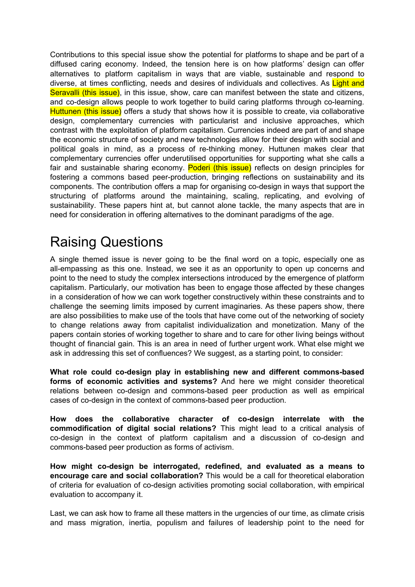Contributions to this special issue show the potential for platforms to shape and be part of a diffused caring economy. Indeed, the tension here is on how platforms' design can offer alternatives to platform capitalism in ways that are viable, sustainable and respond to diverse, at times conflicting, needs and desires of individuals and collectives. As Light and Seravalli (this issue), in this issue, show, care can manifest between the state and citizens, and co-design allows people to work together to build caring platforms through co-learning. Huttunen (this issue) offers a study that shows how it is possible to create, via collaborative design, complementary currencies with particularist and inclusive approaches, which contrast with the exploitation of platform capitalism. Currencies indeed are part of and shape the economic structure of society and new technologies allow for their design with social and political goals in mind, as a process of re-thinking money. Huttunen makes clear that complementary currencies offer underutilised opportunities for supporting what she calls a fair and sustainable sharing economy. Poderi (this issue) reflects on design principles for fostering a commons based peer-production, bringing reflections on sustainability and its components. The contribution offers a map for organising co-design in ways that support the structuring of platforms around the maintaining, scaling, replicating, and evolving of sustainability. These papers hint at, but cannot alone tackle, the many aspects that are in need for consideration in offering alternatives to the dominant paradigms of the age.

## Raising Questions

A single themed issue is never going to be the final word on a topic, especially one as all-empassing as this one. Instead, we see it as an opportunity to open up concerns and point to the need to study the complex intersections introduced by the emergence of platform capitalism. Particularly, our motivation has been to engage those affected by these changes in a consideration of how we can work together constructively within these constraints and to challenge the seeming limits imposed by current imaginaries. As these papers show, there are also possibilities to make use of the tools that have come out of the networking of society to change relations away from capitalist individualization and monetization. Many of the papers contain stories of working together to share and to care for other living beings without thought of financial gain. This is an area in need of further urgent work. What else might we ask in addressing this set of confluences? We suggest, as a starting point, to consider:

**What role could co-design play in establishing new and different commons-based forms of economic activities and systems?** And here we might consider theoretical relations between co-design and commons-based peer production as well as empirical cases of co-design in the context of commons-based peer production.

**How does the collaborative character of co-design interrelate with the commodification of digital social relations?** This might lead to a critical analysis of co-design in the context of platform capitalism and a discussion of co-design and commons-based peer production as forms of activism.

**How might co-design be interrogated, redefined, and evaluated as a means to encourage care and social collaboration?** This would be a call for theoretical elaboration of criteria for evaluation of co-design activities promoting social collaboration, with empirical evaluation to accompany it.

Last, we can ask how to frame all these matters in the urgencies of our time, as climate crisis and mass migration, inertia, populism and failures of leadership point to the need for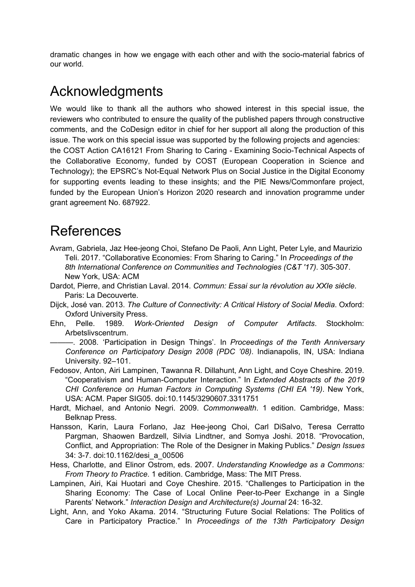dramatic changes in how we engage with each other and with the socio-material fabrics of our world.

#### Acknowledgments

We would like to thank all the authors who showed interest in this special issue, the reviewers who contributed to ensure the quality of the published papers through constructive comments, and the CoDesign editor in chief for her support all along the production of this issue. The work on this special issue was supported by the following projects and agencies: the COST Action CA16121 From Sharing to Caring - Examining Socio-Technical Aspects of the Collaborative Economy, funded by COST (European Cooperation in Science and Technology); the EPSRC's Not-Equal Network Plus on Social Justice in the Digital Economy for supporting events leading to these insights; and the PIE News/Commonfare project, funded by the European Union's Horizon 2020 research and innovation programme under grant agreement No. 687922.

#### References

- Avram, Gabriela, Jaz Hee-jeong Choi, Stefano De Paoli, Ann Light, Peter Lyle, and Maurizio Teli. 2017. "Collaborative Economies: From Sharing to Caring." In *Proceedings of the 8th International Conference on Communities and Technologies (C&T '17)*. 305-307. New York, USA: ACM
- Dardot, Pierre, and Christian Laval. 2014. *Commun: Essai sur la révolution au XXIe siècle*. Paris: La Decouverte.
- Dijck, José van. 2013. *The Culture of Connectivity: A Critical History of Social Media*. Oxford: Oxford University Press.
- Ehn, Pelle. 1989. *Work-Oriented Design of Computer Artifacts*. Stockholm: Arbetslivscentrum.
- ———. 2008. 'Participation in Design Things'. In *Proceedings of the Tenth Anniversary Conference on Participatory Design 2008 (PDC '08)*. Indianapolis, IN, USA: Indiana University. 92–101.
- Fedosov, Anton, Airi Lampinen, Tawanna R. Dillahunt, Ann Light, and Coye Cheshire. 2019. "Cooperativism and Human-Computer Interaction." In *Extended Abstracts of the 2019 CHI Conference on Human Factors in Computing Systems (CHI EA '19)*. New York, USA: ACM. Paper SIG05. doi:10.1145/3290607.3311751
- Hardt, Michael, and Antonio Negri. 2009. *Commonwealth*. 1 edition. Cambridge, Mass: Belknap Press.
- Hansson, Karin, Laura Forlano, Jaz Hee-jeong Choi, Carl DiSalvo, Teresa Cerratto Pargman, Shaowen Bardzell, Silvia Lindtner, and Somya Joshi. 2018. "Provocation, Conflict, and Appropriation: The Role of the Designer in Making Publics." *Design Issues* 34: 3-7. doi:10.1162/desi\_a\_00506
- Hess, Charlotte, and Elinor Ostrom, eds. 2007. *Understanding Knowledge as a Commons: From Theory to Practice*. 1 edition. Cambridge, Mass: The MIT Press.
- Lampinen, Airi, Kai Huotari and Coye Cheshire. 2015. "Challenges to Participation in the Sharing Economy: The Case of Local Online Peer-to-Peer Exchange in a Single Parents' Network." *Interaction Design and Architecture(s) Journal* 24: 16-32.
- Light, Ann, and Yoko Akama. 2014. "Structuring Future Social Relations: The Politics of Care in Participatory Practice." In *Proceedings of the 13th Participatory Design*